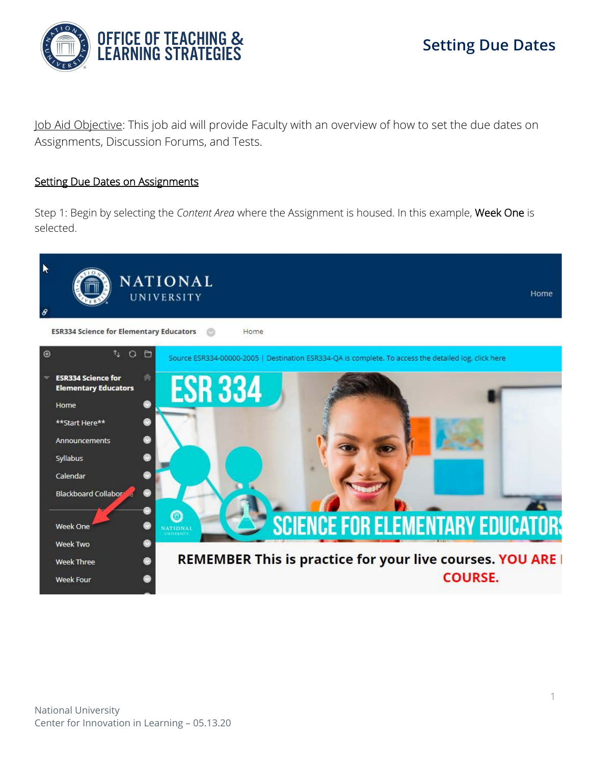

## **Setting Due Dates**

Job Aid Objective: This job aid will provide Faculty with an overview of how to set the due dates on Assignments, Discussion Forums, and Tests.

## Setting Due Dates on Assignments

Step 1: Begin by selecting the *Content Area* where the Assignment is housed. In this example, Week One is selected.

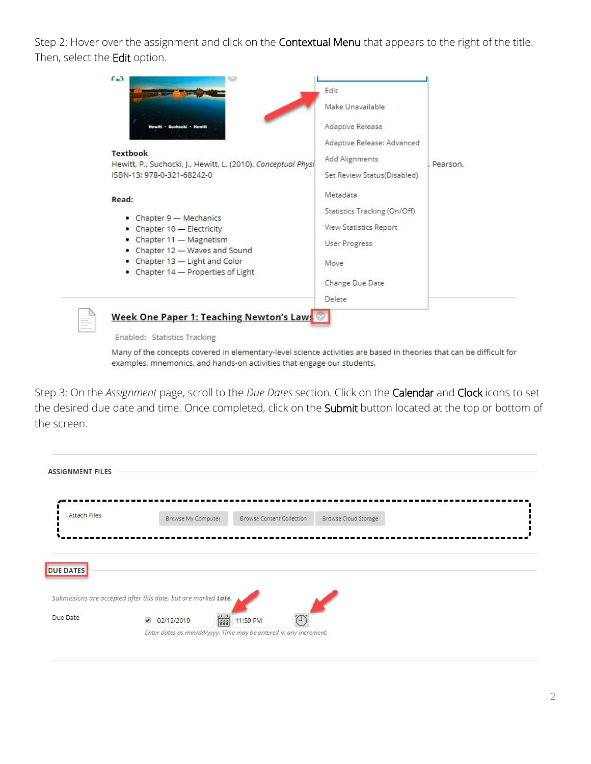Step 2: Hover over the assignment and click on the Contextual Menu that appears to the right of the title. Then, select the Edit option.



Enabled: Statistics Tracking

Many of the concepts covered in elementary-level science activities are based in theories that can be difficult for examples, mnemonics, and hands-on activities that engage our students.

Step 3: On the *Assignment* page, scroll to the *Due Dates* section. Click on the Calendar and Clock icons to set the desired due date and time. Once completed, click on the Submit button located at the top or bottom of the screen.

| Attach Files     | Browse My Computer | <b>Browse Content Collection</b> | Browse Cloud Storage |  |
|------------------|--------------------|----------------------------------|----------------------|--|
|                  |                    |                                  |                      |  |
|                  |                    |                                  |                      |  |
|                  |                    |                                  |                      |  |
|                  |                    |                                  |                      |  |
|                  |                    |                                  |                      |  |
|                  |                    |                                  |                      |  |
| <b>DUE DATES</b> |                    |                                  |                      |  |
|                  |                    |                                  |                      |  |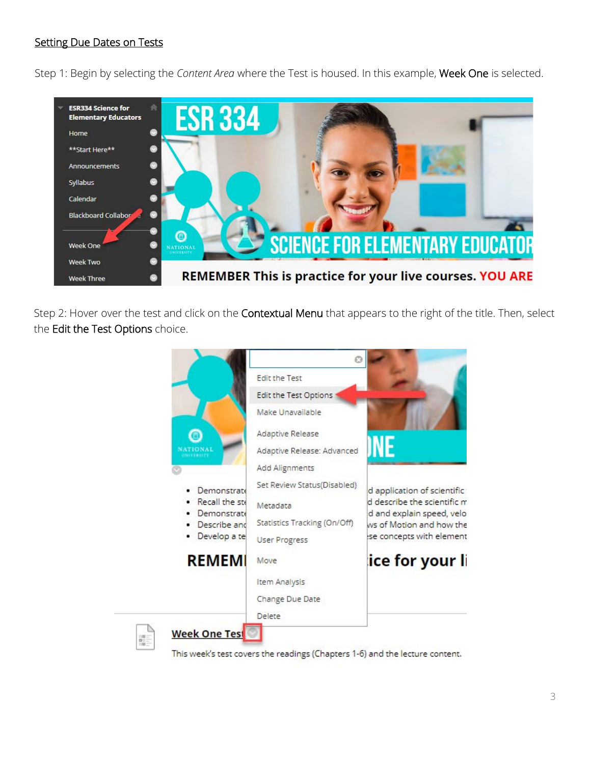## **Setting Due Dates on Tests**

Step 1: Begin by selecting the *Content Area* where the Test is housed. In this example, Week One is selected.



Step 2: Hover over the test and click on the Contextual Menu that appears to the right of the title. Then, select the Edit the Test Options choice.



This week's test covers the readings (Chapters 1-6) and the lecture content.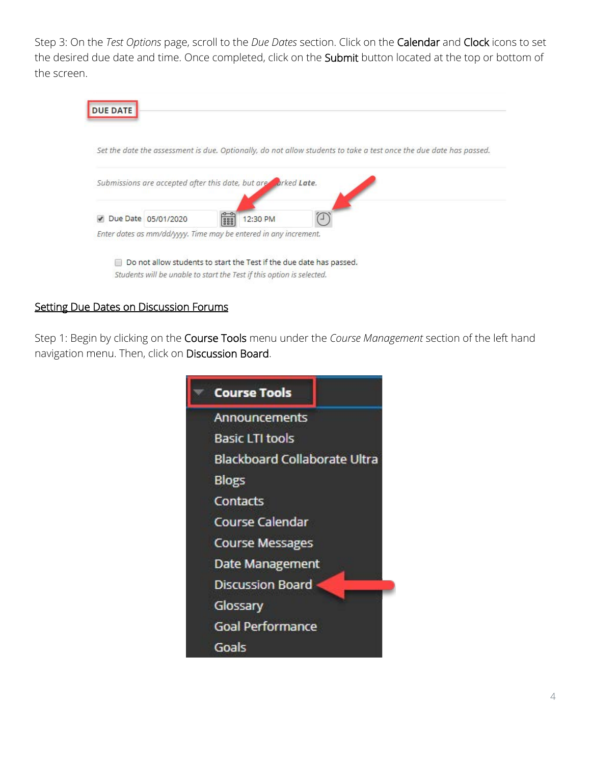Step 3: On the *Test Options* page, scroll to the *Due Dates* section. Click on the Calendar and Clock icons to set the desired due date and time. Once completed, click on the Submit button located at the top or bottom of the screen.



## **Setting Due Dates on Discussion Forums**

Step 1: Begin by clicking on the Course Tools menu under the *Course Management* section of the left hand navigation menu. Then, click on Discussion Board.

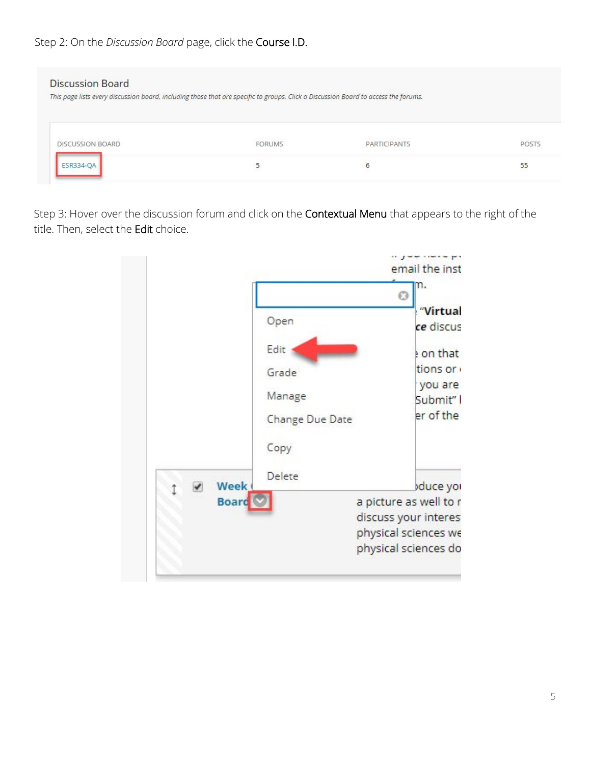| <b>Discussion Board</b> |                                                                                                                                     |                     |                           |
|-------------------------|-------------------------------------------------------------------------------------------------------------------------------------|---------------------|---------------------------|
|                         | This page lists every discussion board, including those that are specific to groups. Click a Discussion Board to access the forums. |                     |                           |
|                         |                                                                                                                                     |                     |                           |
|                         |                                                                                                                                     |                     |                           |
|                         |                                                                                                                                     |                     |                           |
| <b>DISCUSSION BOARD</b> | erakat berbata dan<br><b>FORUMS</b>                                                                                                 | <b>PARTICIPANTS</b> | on London<br><b>POSTS</b> |

Step 3: Hover over the discussion forum and click on the Contextual Menu that appears to the right of the title. Then, select the Edit choice.